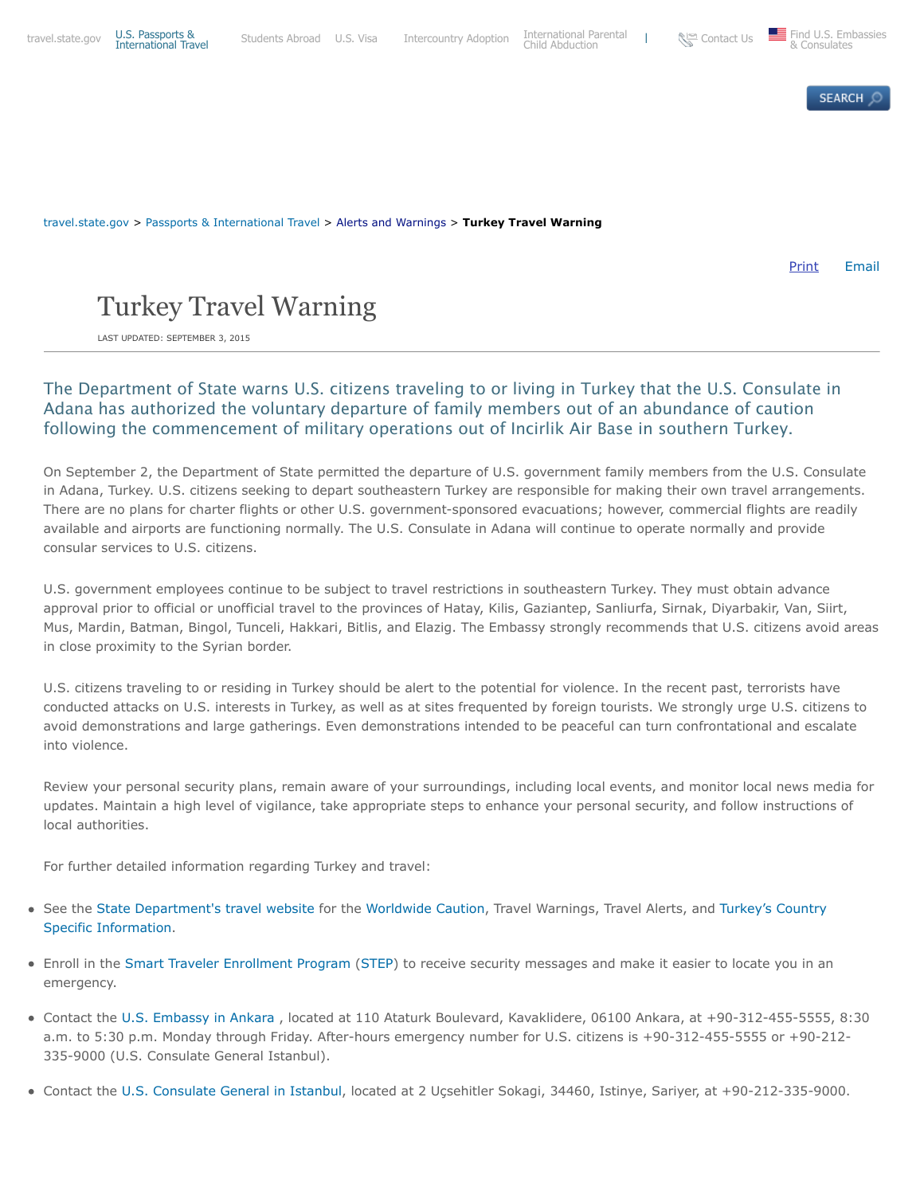





## [travel.state.gov](http://travel.state.gov/content/travel/en.html) > [Passports & International Travel](http://travel.state.gov/content/passports/en.html) > [Alerts and Warnings](http://travel.state.gov/content/passports/en/alertswarnings.html) > **Turkey Travel Warning**

[Print](http://travel.state.gov/content/passports/en/alertswarnings/turkey-travel-warning.html#) [Email](http://travel.state.gov/content/passports/en/alertswarnings/turkey-travel-warning.html#)

## Turkey Travel Warning

LAST UPDATED: SEPTEMBER 3, 2015

## The Department of State warns U.S. citizens traveling to or living in Turkey that the U.S. Consulate in Adana has authorized the voluntary departure of family members out of an abundance of caution following the commencement of military operations out of Incirlik Air Base in southern Turkey.

On September 2, the Department of State permitted the departure of U.S. government family members from the U.S. Consulate in Adana, Turkey. U.S. citizens seeking to depart southeastern Turkey are responsible for making their own travel arrangements. There are no plans for charter flights or other U.S. government-sponsored evacuations; however, commercial flights are readily available and airports are functioning normally. The U.S. Consulate in Adana will continue to operate normally and provide consular services to U.S. citizens.

U.S. government employees continue to be subject to travel restrictions in southeastern Turkey. They must obtain advance approval prior to official or unofficial travel to the provinces of Hatay, Kilis, Gaziantep, Sanliurfa, Sirnak, Diyarbakir, Van, Siirt, Mus, Mardin, Batman, Bingol, Tunceli, Hakkari, Bitlis, and Elazig. The Embassy strongly recommends that U.S. citizens avoid areas in close proximity to the Syrian border.

U.S. citizens traveling to or residing in Turkey should be alert to the potential for violence. In the recent past, terrorists have conducted attacks on U.S. interests in Turkey, as well as at sites frequented by foreign tourists. We strongly urge U.S. citizens to avoid demonstrations and large gatherings. Even demonstrations intended to be peaceful can turn confrontational and escalate into violence.

Review your personal security plans, remain aware of your surroundings, including local events, and monitor local news media for updates. Maintain a high level of vigilance, take appropriate steps to enhance your personal security, and follow instructions of local authorities.

For further detailed information regarding Turkey and travel:

- [See the](http://travel.state.gov/content/passports/english/country/turkey.html) [State Department's travel website](http://travel.state.gov/) [for the](http://travel.state.gov/content/passports/english/country/turkey.html) [Worldwide Caution](http://travel.state.gov/content/passports/english/alertswarnings/worldwide-caution.html)[, Travel Warnings, Travel Alerts, and Turkey's Country](http://travel.state.gov/content/passports/english/country/turkey.html) Specific Information.
- Enroll in the [Smart Traveler Enrollment Program \(STEP\)](https://step.state.gov/step/) to receive security messages and make it easier to locate you in an emergency.
- Contact the [U.S. Embassy in Ankara ,](http://turkey.usembassy.gov/) located at 110 Ataturk Boulevard, Kavaklidere, 06100 Ankara, at +90-312-455-5555, 8:30 a.m. to 5:30 p.m. Monday through Friday. After-hours emergency number for U.S. citizens is +90-312-455-5555 or +90-212- 335-9000 (U.S. Consulate General Istanbul).
- Contact the [U.S. Consulate General in Istanbul,](http://istanbul.usconsulate.gov/) located at 2 Uçsehitler Sokagi, 34460, Istinye, Sariyer, at +90-212-335-9000.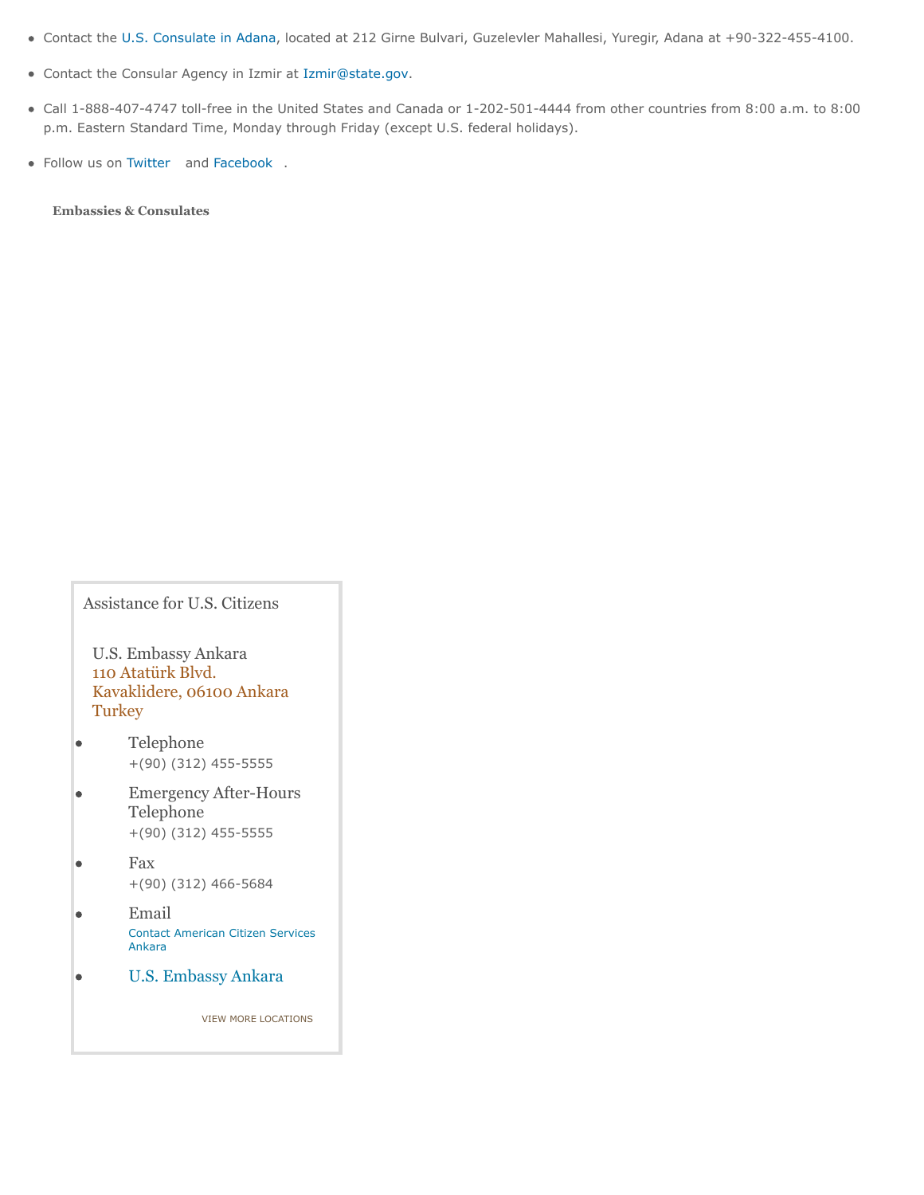- Contact the [U.S. Consulate in Adana,](http://adana.usconsulate.gov/) located at 212 Girne Bulvari, Guzelevler Mahallesi, Yuregir, Adana at +90-322-455-4100.
- Contact the Consular Agency in Izmir at [Izmir@state.gov.](mailto:Izmir@state.gov)
- Call 1-888-407-4747 toll-free in the United States and Canada or 1-202-501-4444 from other countries from 8:00 a.m. to 8:00 p.m. Eastern Standard Time, Monday through Friday (except U.S. federal holidays).
- Follow us on [Twitter](http://twitter.com/travelgov) and [Facebook](http://www.facebook.com/travelgov) .

**Embassies & Consulates**

Assistance for U.S. Citizens

U.S. Embassy Ankara 110 Atatürk Blvd. Kavaklidere, 06100 Ankara **Turkey** 

- Telephone le. +(90) (312) 455-5555
- Emergency After-Hours ۱o Telephone +(90) (312) 455-5555
- Fax ۱ +(90) (312) 466-5684
- Email ۱ [Contact American Citizen Services](http://turkey.usembassy.gov/acs-form5.html) Ankara
- [U.S. Embassy Ankara](http://turkey.usembassy.gov/) ۱

[VIEW MORE LOCATIONS](http://travel.state.gov/content/passports/en/alertswarnings/turkey-travel-warning.html#more_embassies)